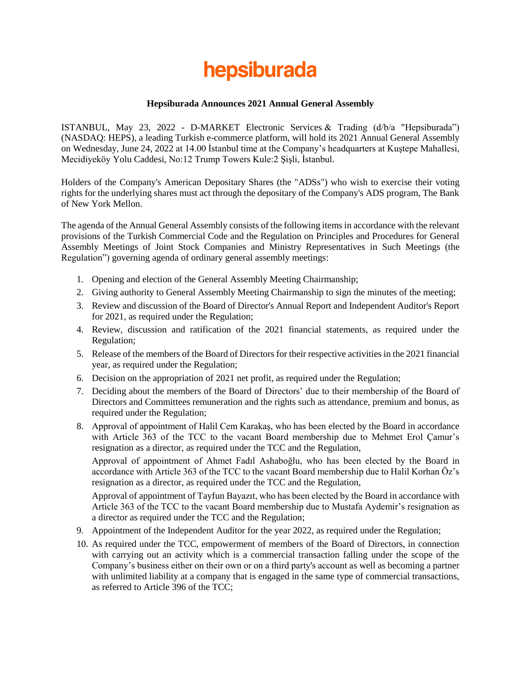# hepsiburada

#### **Hepsiburada Announces 2021 Annual General Assembly**

ISTANBUL, May 23, 2022 - D-MARKET Electronic Services & Trading (d/b/a "Hepsiburada") (NASDAQ: HEPS), a leading Turkish e-commerce platform, will hold its 2021 Annual General Assembly on Wednesday, June 24, 2022 at 14.00 İstanbul time at the Company's headquarters at Kuştepe Mahallesi, Mecidiyeköy Yolu Caddesi, No:12 Trump Towers Kule:2 Şişli, İstanbul.

Holders of the Company's American Depositary Shares (the "ADSs") who wish to exercise their voting rights for the underlying shares must act through the depositary of the Company's ADS program, The Bank of New York Mellon.

The agenda of the Annual General Assembly consists of the following items in accordance with the relevant provisions of the Turkish Commercial Code and the Regulation on Principles and Procedures for General Assembly Meetings of Joint Stock Companies and Ministry Representatives in Such Meetings (the Regulation") governing agenda of ordinary general assembly meetings:

- 1. Opening and election of the General Assembly Meeting Chairmanship;
- 2. Giving authority to General Assembly Meeting Chairmanship to sign the minutes of the meeting;
- 3. Review and discussion of the Board of Director's Annual Report and Independent Auditor's Report for 2021, as required under the Regulation;
- 4. Review, discussion and ratification of the 2021 financial statements, as required under the Regulation;
- 5. Release of the members of the Board of Directors for their respective activities in the 2021 financial year, as required under the Regulation;
- 6. Decision on the appropriation of 2021 net profit, as required under the Regulation;
- 7. Deciding about the members of the Board of Directors' due to their membership of the Board of Directors and Committees remuneration and the rights such as attendance, premium and bonus, as required under the Regulation;
- 8. Approval of appointment of Halil Cem Karakaş, who has been elected by the Board in accordance with Article 363 of the TCC to the vacant Board membership due to Mehmet Erol Çamur's resignation as a director, as required under the TCC and the Regulation,

Approval of appointment of Ahmet Fadıl Ashaboğlu, who has been elected by the Board in accordance with Article 363 of the TCC to the vacant Board membership due to Halil Korhan Öz's resignation as a director, as required under the TCC and the Regulation,

Approval of appointment of Tayfun Bayazıt, who has been elected by the Board in accordance with Article 363 of the TCC to the vacant Board membership due to Mustafa Aydemir's resignation as a director as required under the TCC and the Regulation;

- 9. Appointment of the Independent Auditor for the year 2022, as required under the Regulation;
- 10. As required under the TCC, empowerment of members of the Board of Directors, in connection with carrying out an activity which is a commercial transaction falling under the scope of the Company's business either on their own or on a third party's account as well as becoming a partner with unlimited liability at a company that is engaged in the same type of commercial transactions, as referred to Article 396 of the TCC;